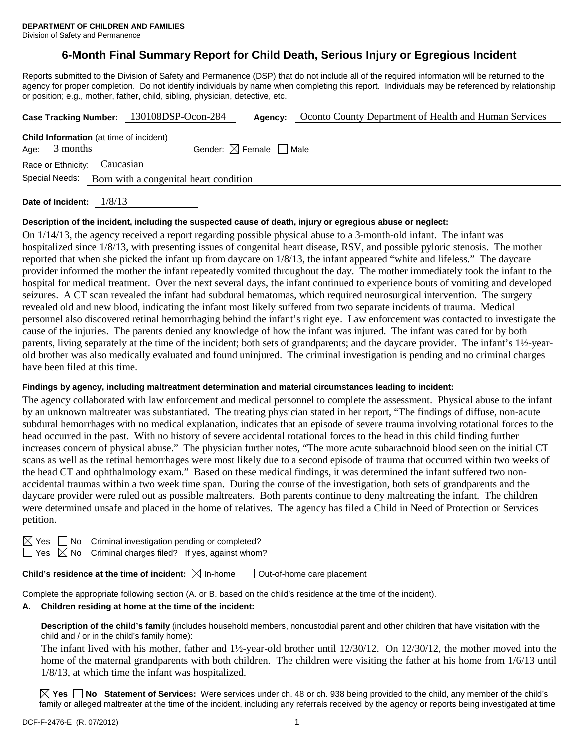Division of Safety and Permanence

### **6-Month Final Summary Report for Child Death, Serious Injury or Egregious Incident**

Reports submitted to the Division of Safety and Permanence (DSP) that do not include all of the required information will be returned to the agency for proper completion. Do not identify individuals by name when completing this report. Individuals may be referenced by relationship or position; e.g., mother, father, child, sibling, physician, detective, etc.

|                                                          |                 |                                                | Case Tracking Number: 130108DSP-Ocon-284 | Agency:                                | Oconto County Department of Health and Human Services |  |
|----------------------------------------------------------|-----------------|------------------------------------------------|------------------------------------------|----------------------------------------|-------------------------------------------------------|--|
|                                                          | Age: $3$ months | <b>Child Information</b> (at time of incident) |                                          | Gender: $\boxtimes$ Female $\Box$ Male |                                                       |  |
|                                                          |                 | Race or Ethnicity: Caucasian                   |                                          |                                        |                                                       |  |
| Special Needs:<br>Born with a congenital heart condition |                 |                                                |                                          |                                        |                                                       |  |
|                                                          |                 |                                                |                                          |                                        |                                                       |  |

**Date of Incident:** 1/8/13

#### **Description of the incident, including the suspected cause of death, injury or egregious abuse or neglect:**

On 1/14/13, the agency received a report regarding possible physical abuse to a 3-month-old infant. The infant was hospitalized since 1/8/13, with presenting issues of congenital heart disease, RSV, and possible pyloric stenosis. The mother reported that when she picked the infant up from daycare on 1/8/13, the infant appeared "white and lifeless." The daycare provider informed the mother the infant repeatedly vomited throughout the day. The mother immediately took the infant to the hospital for medical treatment. Over the next several days, the infant continued to experience bouts of vomiting and developed seizures. A CT scan revealed the infant had subdural hematomas, which required neurosurgical intervention. The surgery revealed old and new blood, indicating the infant most likely suffered from two separate incidents of trauma. Medical personnel also discovered retinal hemorrhaging behind the infant's right eye. Law enforcement was contacted to investigate the cause of the injuries. The parents denied any knowledge of how the infant was injured. The infant was cared for by both parents, living separately at the time of the incident; both sets of grandparents; and the daycare provider. The infant's 1½-yearold brother was also medically evaluated and found uninjured. The criminal investigation is pending and no criminal charges have been filed at this time.

#### **Findings by agency, including maltreatment determination and material circumstances leading to incident:**

The agency collaborated with law enforcement and medical personnel to complete the assessment. Physical abuse to the infant by an unknown maltreater was substantiated. The treating physician stated in her report, "The findings of diffuse, non-acute subdural hemorrhages with no medical explanation, indicates that an episode of severe trauma involving rotational forces to the head occurred in the past. With no history of severe accidental rotational forces to the head in this child finding further increases concern of physical abuse." The physician further notes, "The more acute subarachnoid blood seen on the initial CT scans as well as the retinal hemorrhages were most likely due to a second episode of trauma that occurred within two weeks of the head CT and ophthalmology exam." Based on these medical findings, it was determined the infant suffered two nonaccidental traumas within a two week time span. During the course of the investigation, both sets of grandparents and the daycare provider were ruled out as possible maltreaters. Both parents continue to deny maltreating the infant. The children were determined unsafe and placed in the home of relatives. The agency has filed a Child in Need of Protection or Services petition.

 $\boxtimes$  Yes  $\Box$  No Criminal investigation pending or completed?

 $\Box$  Yes  $\boxtimes$  No Criminal charges filed? If yes, against whom?

**Child's residence at the time of incident:**  $\boxtimes$  In-home  $\Box$  Out-of-home care placement

Complete the appropriate following section (A. or B. based on the child's residence at the time of the incident).

# **A. Children residing at home at the time of the incident:**

**Description of the child's family** (includes household members, noncustodial parent and other children that have visitation with the child and / or in the child's family home):

The infant lived with his mother, father and 1½-year-old brother until 12/30/12. On 12/30/12, the mother moved into the home of the maternal grandparents with both children. The children were visiting the father at his home from 1/6/13 until 1/8/13, at which time the infant was hospitalized.

**Yes No Statement of Services:** Were services under ch. 48 or ch. 938 being provided to the child, any member of the child's family or alleged maltreater at the time of the incident, including any referrals received by the agency or reports being investigated at time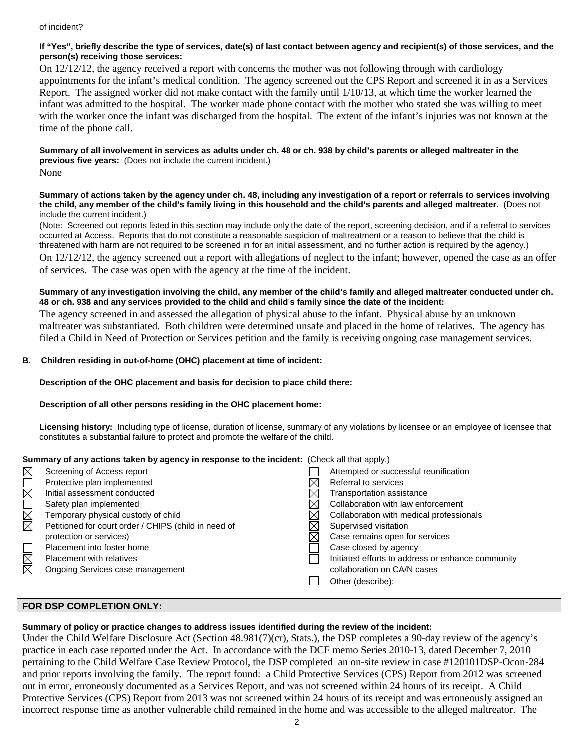#### of incident?

#### **If "Yes", briefly describe the type of services, date(s) of last contact between agency and recipient(s) of those services, and the person(s) receiving those services:**

On 12/12/12, the agency received a report with concerns the mother was not following through with cardiology appointments for the infant's medical condition. The agency screened out the CPS Report and screened it in as a Services Report. The assigned worker did not make contact with the family until 1/10/13, at which time the worker learned the infant was admitted to the hospital. The worker made phone contact with the mother who stated she was willing to meet with the worker once the infant was discharged from the hospital. The extent of the infant's injuries was not known at the time of the phone call.

**Summary of all involvement in services as adults under ch. 48 or ch. 938 by child's parents or alleged maltreater in the previous five years:** (Does not include the current incident.) None

**Summary of actions taken by the agency under ch. 48, including any investigation of a report or referrals to services involving the child, any member of the child's family living in this household and the child's parents and alleged maltreater.** (Does not include the current incident.)

(Note: Screened out reports listed in this section may include only the date of the report, screening decision, and if a referral to services occurred at Access. Reports that do not constitute a reasonable suspicion of maltreatment or a reason to believe that the child is threatened with harm are not required to be screened in for an initial assessment, and no further action is required by the agency.)

On 12/12/12, the agency screened out a report with allegations of neglect to the infant; however, opened the case as an offer of services. The case was open with the agency at the time of the incident.

#### **Summary of any investigation involving the child, any member of the child's family and alleged maltreater conducted under ch. 48 or ch. 938 and any services provided to the child and child's family since the date of the incident:**

The agency screened in and assessed the allegation of physical abuse to the infant. Physical abuse by an unknown maltreater was substantiated. Both children were determined unsafe and placed in the home of relatives. The agency has filed a Child in Need of Protection or Services petition and the family is receiving ongoing case management services.

#### **B. Children residing in out-of-home (OHC) placement at time of incident:**

#### **Description of the OHC placement and basis for decision to place child there:**

#### **Description of all other persons residing in the OHC placement home:**

**Licensing history:** Including type of license, duration of license, summary of any violations by licensee or an employee of licensee that constitutes a substantial failure to protect and promote the welfare of the child.

#### **Summary of any actions taken by agency in response to the incident:** (Check all that apply.)

|                               | Screening of Access report                           | Attempted or successful reunification             |
|-------------------------------|------------------------------------------------------|---------------------------------------------------|
|                               | Protective plan implemented                          | Referral to services                              |
|                               | Initial assessment conducted                         | Transportation assistance                         |
|                               | Safety plan implemented                              | Collaboration with law enforcement                |
| N<br>M                        | Temporary physical custody of child                  | Collaboration with medical professionals          |
|                               | Petitioned for court order / CHIPS (child in need of | Supervised visitation                             |
|                               | protection or services)                              | Case remains open for services                    |
|                               | Placement into foster home                           | Case closed by agency                             |
| $\frac{\boxtimes}{\boxtimes}$ | <b>Placement with relatives</b>                      | Initiated efforts to address or enhance community |
|                               | Ongoing Services case management                     | collaboration on CA/N cases                       |
|                               |                                                      | Other (describe):                                 |
|                               |                                                      |                                                   |

### **FOR DSP COMPLETION ONLY:**

# **Summary of policy or practice changes to address issues identified during the review of the incident:**

Under the Child Welfare Disclosure Act (Section 48.981(7)(cr), Stats.), the DSP completes a 90-day review of the agency's practice in each case reported under the Act. In accordance with the DCF memo Series 2010-13, dated December 7, 2010 pertaining to the Child Welfare Case Review Protocol, the DSP completed an on-site review in case #120101DSP-Ocon-284 and prior reports involving the family. The report found: a Child Protective Services (CPS) Report from 2012 was screened out in error, erroneously documented as a Services Report, and was not screened within 24 hours of its receipt. A Child Protective Services (CPS) Report from 2013 was not screened within 24 hours of its receipt and was erroneously assigned an incorrect response time as another vulnerable child remained in the home and was accessible to the alleged maltreator. The